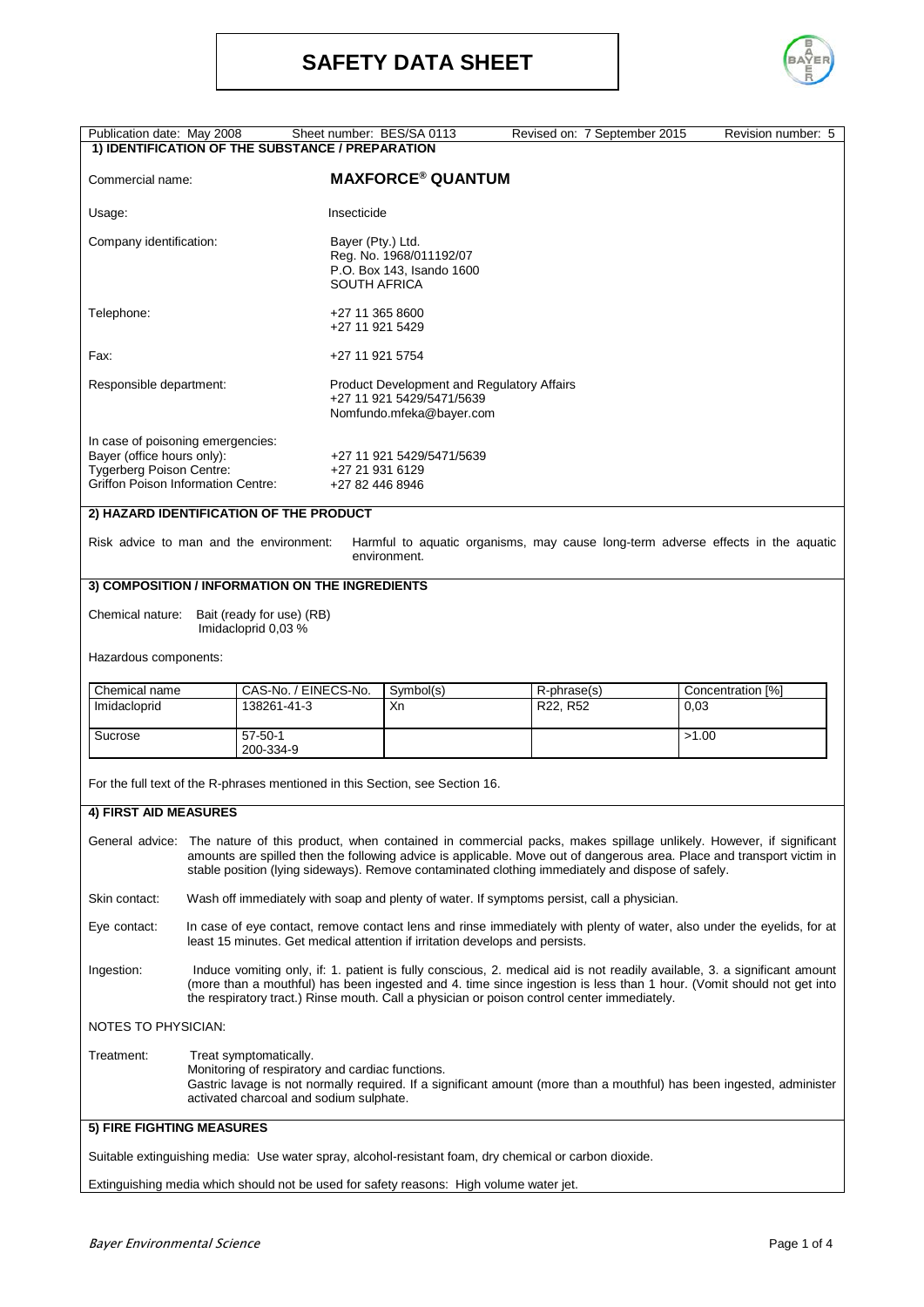

| Publication date: May 2008                                                                                                               |                                                                                                                                                                                                                                                                                                                                                                 |                                                                                                                                                                                                        |                                                                                                            | Sheet number: BES/SA 0113                                                               |  | Revised on: 7 September 2015 |       | Revision number: 5                                                               |
|------------------------------------------------------------------------------------------------------------------------------------------|-----------------------------------------------------------------------------------------------------------------------------------------------------------------------------------------------------------------------------------------------------------------------------------------------------------------------------------------------------------------|--------------------------------------------------------------------------------------------------------------------------------------------------------------------------------------------------------|------------------------------------------------------------------------------------------------------------|-----------------------------------------------------------------------------------------|--|------------------------------|-------|----------------------------------------------------------------------------------|
| 1) IDENTIFICATION OF THE SUBSTANCE / PREPARATION                                                                                         |                                                                                                                                                                                                                                                                                                                                                                 |                                                                                                                                                                                                        |                                                                                                            |                                                                                         |  |                              |       |                                                                                  |
| Commercial name:                                                                                                                         |                                                                                                                                                                                                                                                                                                                                                                 | <b>MAXFORCE<sup>®</sup> QUANTUM</b>                                                                                                                                                                    |                                                                                                            |                                                                                         |  |                              |       |                                                                                  |
| Usage:                                                                                                                                   |                                                                                                                                                                                                                                                                                                                                                                 |                                                                                                                                                                                                        | Insecticide                                                                                                |                                                                                         |  |                              |       |                                                                                  |
| Company identification:                                                                                                                  |                                                                                                                                                                                                                                                                                                                                                                 |                                                                                                                                                                                                        | Bayer (Pty.) Ltd.<br>Reg. No. 1968/011192/07<br>P.O. Box 143, Isando 1600<br><b>SOUTH AFRICA</b>           |                                                                                         |  |                              |       |                                                                                  |
| Telephone:                                                                                                                               |                                                                                                                                                                                                                                                                                                                                                                 |                                                                                                                                                                                                        | +27 11 365 8600<br>+27 11 921 5429                                                                         |                                                                                         |  |                              |       |                                                                                  |
| Fax:                                                                                                                                     |                                                                                                                                                                                                                                                                                                                                                                 |                                                                                                                                                                                                        | +27 11 921 5754                                                                                            |                                                                                         |  |                              |       |                                                                                  |
| Responsible department:                                                                                                                  |                                                                                                                                                                                                                                                                                                                                                                 |                                                                                                                                                                                                        | <b>Product Development and Regulatory Affairs</b><br>+27 11 921 5429/5471/5639<br>Nomfundo.mfeka@bayer.com |                                                                                         |  |                              |       |                                                                                  |
| In case of poisoning emergencies:<br>Bayer (office hours only):<br>Tygerberg Poison Centre:<br><b>Griffon Poison Information Centre:</b> |                                                                                                                                                                                                                                                                                                                                                                 | +27 11 921 5429/5471/5639<br>+27 21 931 6129<br>+27 82 446 8946                                                                                                                                        |                                                                                                            |                                                                                         |  |                              |       |                                                                                  |
| 2) HAZARD IDENTIFICATION OF THE PRODUCT                                                                                                  |                                                                                                                                                                                                                                                                                                                                                                 |                                                                                                                                                                                                        |                                                                                                            |                                                                                         |  |                              |       |                                                                                  |
| Risk advice to man and the environment:                                                                                                  |                                                                                                                                                                                                                                                                                                                                                                 |                                                                                                                                                                                                        |                                                                                                            | environment.                                                                            |  |                              |       | Harmful to aquatic organisms, may cause long-term adverse effects in the aquatic |
| 3) COMPOSITION / INFORMATION ON THE INGREDIENTS                                                                                          |                                                                                                                                                                                                                                                                                                                                                                 |                                                                                                                                                                                                        |                                                                                                            |                                                                                         |  |                              |       |                                                                                  |
| Bait (ready for use) (RB)<br>Chemical nature:<br>Imidacloprid 0,03 %                                                                     |                                                                                                                                                                                                                                                                                                                                                                 |                                                                                                                                                                                                        |                                                                                                            |                                                                                         |  |                              |       |                                                                                  |
| Hazardous components:                                                                                                                    |                                                                                                                                                                                                                                                                                                                                                                 |                                                                                                                                                                                                        |                                                                                                            |                                                                                         |  |                              |       |                                                                                  |
| Chemical name<br>Imidacloprid                                                                                                            |                                                                                                                                                                                                                                                                                                                                                                 | 138261-41-3                                                                                                                                                                                            | CAS-No. / EINECS-No.                                                                                       |                                                                                         |  | R-phrase(s)<br>R22, R52      | 0,03  | Concentration [%]                                                                |
| Sucrose                                                                                                                                  |                                                                                                                                                                                                                                                                                                                                                                 | $57 - 50 - 1$                                                                                                                                                                                          |                                                                                                            |                                                                                         |  |                              | >1.00 |                                                                                  |
| 200-334-9<br>For the full text of the R-phrases mentioned in this Section, see Section 16.                                               |                                                                                                                                                                                                                                                                                                                                                                 |                                                                                                                                                                                                        |                                                                                                            |                                                                                         |  |                              |       |                                                                                  |
| 4) FIRST AID MEASURES                                                                                                                    |                                                                                                                                                                                                                                                                                                                                                                 |                                                                                                                                                                                                        |                                                                                                            |                                                                                         |  |                              |       |                                                                                  |
|                                                                                                                                          | General advice: The nature of this product, when contained in commercial packs, makes spillage unlikely. However, if significant<br>amounts are spilled then the following advice is applicable. Move out of dangerous area. Place and transport victim in<br>stable position (lying sideways). Remove contaminated clothing immediately and dispose of safely. |                                                                                                                                                                                                        |                                                                                                            |                                                                                         |  |                              |       |                                                                                  |
| Skin contact:                                                                                                                            | Wash off immediately with soap and plenty of water. If symptoms persist, call a physician.                                                                                                                                                                                                                                                                      |                                                                                                                                                                                                        |                                                                                                            |                                                                                         |  |                              |       |                                                                                  |
| Eye contact:                                                                                                                             |                                                                                                                                                                                                                                                                                                                                                                 | In case of eye contact, remove contact lens and rinse immediately with plenty of water, also under the eyelids, for at<br>least 15 minutes. Get medical attention if irritation develops and persists. |                                                                                                            |                                                                                         |  |                              |       |                                                                                  |
| Ingestion:                                                                                                                               | Induce vomiting only, if: 1. patient is fully conscious, 2. medical aid is not readily available, 3. a significant amount<br>(more than a mouthful) has been ingested and 4. time since ingestion is less than 1 hour. (Vomit should not get into<br>the respiratory tract.) Rinse mouth. Call a physician or poison control center immediately.                |                                                                                                                                                                                                        |                                                                                                            |                                                                                         |  |                              |       |                                                                                  |
| NOTES TO PHYSICIAN:                                                                                                                      |                                                                                                                                                                                                                                                                                                                                                                 |                                                                                                                                                                                                        |                                                                                                            |                                                                                         |  |                              |       |                                                                                  |
| Treatment:                                                                                                                               | Treat symptomatically.<br>Monitoring of respiratory and cardiac functions.<br>Gastric lavage is not normally required. If a significant amount (more than a mouthful) has been ingested, administer<br>activated charcoal and sodium sulphate.                                                                                                                  |                                                                                                                                                                                                        |                                                                                                            |                                                                                         |  |                              |       |                                                                                  |
| 5) FIRE FIGHTING MEASURES                                                                                                                |                                                                                                                                                                                                                                                                                                                                                                 |                                                                                                                                                                                                        |                                                                                                            |                                                                                         |  |                              |       |                                                                                  |
| Suitable extinguishing media: Use water spray, alcohol-resistant foam, dry chemical or carbon dioxide.                                   |                                                                                                                                                                                                                                                                                                                                                                 |                                                                                                                                                                                                        |                                                                                                            |                                                                                         |  |                              |       |                                                                                  |
|                                                                                                                                          |                                                                                                                                                                                                                                                                                                                                                                 |                                                                                                                                                                                                        |                                                                                                            | Extinguishing media which should not be used for safety reasons: High volume water jet. |  |                              |       |                                                                                  |
|                                                                                                                                          |                                                                                                                                                                                                                                                                                                                                                                 |                                                                                                                                                                                                        |                                                                                                            |                                                                                         |  |                              |       |                                                                                  |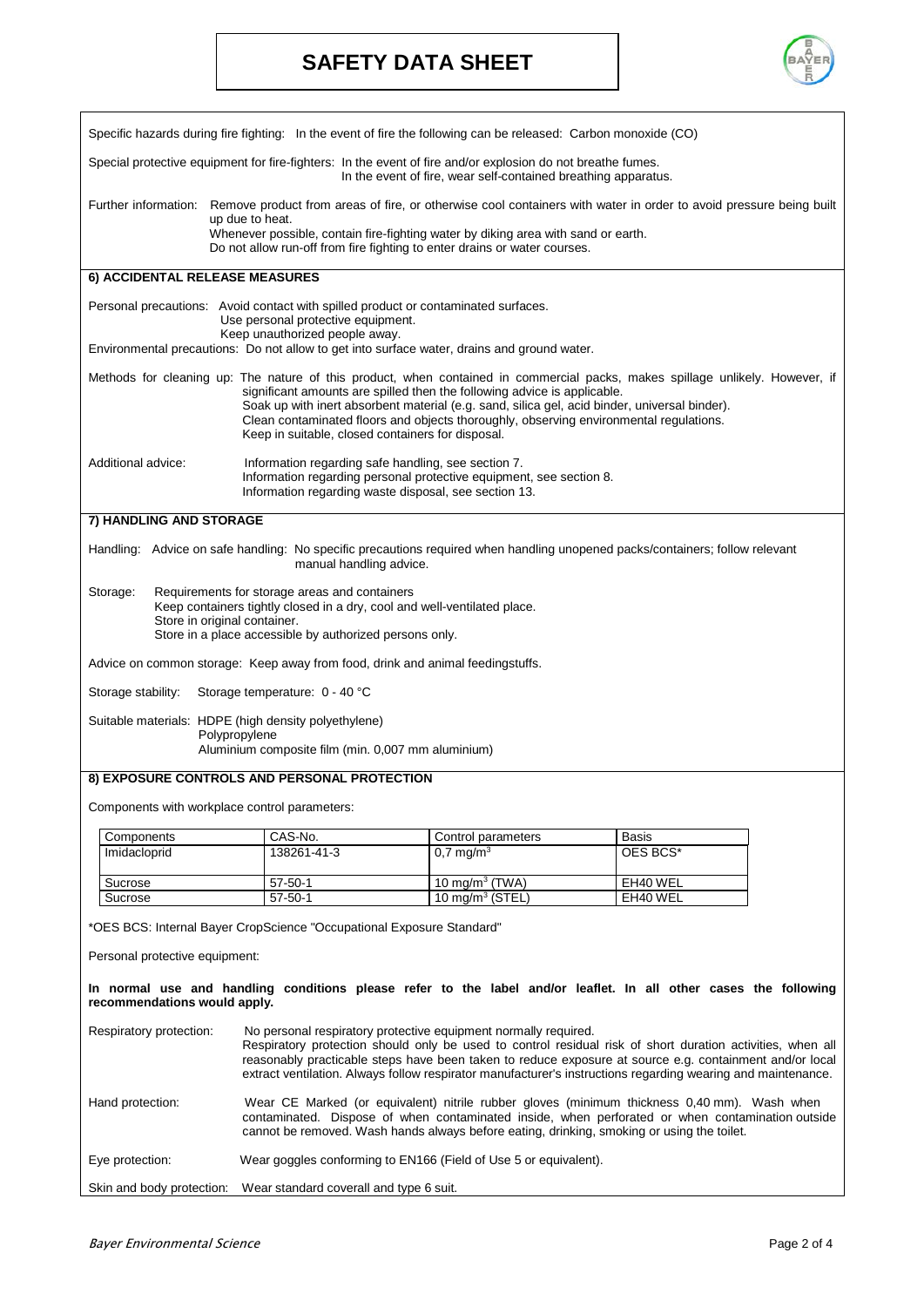## **SAFETY DATA SHEET**



| Specific hazards during fire fighting: In the event of fire the following can be released: Carbon monoxide (CO)                                                                                                                  |                                                                                                                                                                                                                                                                                                                                                                                                                                                           |                                                                                                                                        |          |  |  |  |
|----------------------------------------------------------------------------------------------------------------------------------------------------------------------------------------------------------------------------------|-----------------------------------------------------------------------------------------------------------------------------------------------------------------------------------------------------------------------------------------------------------------------------------------------------------------------------------------------------------------------------------------------------------------------------------------------------------|----------------------------------------------------------------------------------------------------------------------------------------|----------|--|--|--|
| Special protective equipment for fire-fighters: In the event of fire and/or explosion do not breathe fumes.<br>In the event of fire, wear self-contained breathing apparatus.                                                    |                                                                                                                                                                                                                                                                                                                                                                                                                                                           |                                                                                                                                        |          |  |  |  |
|                                                                                                                                                                                                                                  |                                                                                                                                                                                                                                                                                                                                                                                                                                                           | Further information: Remove product from areas of fire, or otherwise cool containers with water in order to avoid pressure being built |          |  |  |  |
|                                                                                                                                                                                                                                  | up due to heat.                                                                                                                                                                                                                                                                                                                                                                                                                                           | Whenever possible, contain fire-fighting water by diking area with sand or earth.                                                      |          |  |  |  |
|                                                                                                                                                                                                                                  | Do not allow run-off from fire fighting to enter drains or water courses.                                                                                                                                                                                                                                                                                                                                                                                 |                                                                                                                                        |          |  |  |  |
| 6) ACCIDENTAL RELEASE MEASURES                                                                                                                                                                                                   |                                                                                                                                                                                                                                                                                                                                                                                                                                                           |                                                                                                                                        |          |  |  |  |
|                                                                                                                                                                                                                                  | Personal precautions: Avoid contact with spilled product or contaminated surfaces.<br>Use personal protective equipment.                                                                                                                                                                                                                                                                                                                                  |                                                                                                                                        |          |  |  |  |
|                                                                                                                                                                                                                                  | Keep unauthorized people away.<br>Environmental precautions: Do not allow to get into surface water, drains and ground water.                                                                                                                                                                                                                                                                                                                             |                                                                                                                                        |          |  |  |  |
|                                                                                                                                                                                                                                  | Methods for cleaning up: The nature of this product, when contained in commercial packs, makes spillage unlikely. However, if<br>significant amounts are spilled then the following advice is applicable.<br>Soak up with inert absorbent material (e.g. sand, silica gel, acid binder, universal binder).<br>Clean contaminated floors and objects thoroughly, observing environmental regulations.<br>Keep in suitable, closed containers for disposal. |                                                                                                                                        |          |  |  |  |
| Additional advice:                                                                                                                                                                                                               | Information regarding safe handling, see section 7.<br>Information regarding personal protective equipment, see section 8.<br>Information regarding waste disposal, see section 13.                                                                                                                                                                                                                                                                       |                                                                                                                                        |          |  |  |  |
| 7) HANDLING AND STORAGE                                                                                                                                                                                                          |                                                                                                                                                                                                                                                                                                                                                                                                                                                           |                                                                                                                                        |          |  |  |  |
|                                                                                                                                                                                                                                  | manual handling advice.                                                                                                                                                                                                                                                                                                                                                                                                                                   | Handling: Advice on safe handling: No specific precautions required when handling unopened packs/containers; follow relevant           |          |  |  |  |
| Storage:<br>Requirements for storage areas and containers<br>Keep containers tightly closed in a dry, cool and well-ventilated place.<br>Store in original container.<br>Store in a place accessible by authorized persons only. |                                                                                                                                                                                                                                                                                                                                                                                                                                                           |                                                                                                                                        |          |  |  |  |
|                                                                                                                                                                                                                                  | Advice on common storage: Keep away from food, drink and animal feedingstuffs.                                                                                                                                                                                                                                                                                                                                                                            |                                                                                                                                        |          |  |  |  |
| Storage stability:                                                                                                                                                                                                               | Storage temperature: 0 - 40 °C                                                                                                                                                                                                                                                                                                                                                                                                                            |                                                                                                                                        |          |  |  |  |
| Suitable materials: HDPE (high density polyethylene)                                                                                                                                                                             |                                                                                                                                                                                                                                                                                                                                                                                                                                                           |                                                                                                                                        |          |  |  |  |
|                                                                                                                                                                                                                                  | Polypropylene                                                                                                                                                                                                                                                                                                                                                                                                                                             |                                                                                                                                        |          |  |  |  |
| Aluminium composite film (min. 0,007 mm aluminium)                                                                                                                                                                               |                                                                                                                                                                                                                                                                                                                                                                                                                                                           |                                                                                                                                        |          |  |  |  |
| 8) EXPOSURE CONTROLS AND PERSONAL PROTECTION                                                                                                                                                                                     |                                                                                                                                                                                                                                                                                                                                                                                                                                                           |                                                                                                                                        |          |  |  |  |
| Components with workplace control parameters:                                                                                                                                                                                    |                                                                                                                                                                                                                                                                                                                                                                                                                                                           |                                                                                                                                        |          |  |  |  |
| Components                                                                                                                                                                                                                       | CAS-No.                                                                                                                                                                                                                                                                                                                                                                                                                                                   | Control parameters                                                                                                                     | Basis    |  |  |  |
| Imidacloprid                                                                                                                                                                                                                     | 138261-41-3                                                                                                                                                                                                                                                                                                                                                                                                                                               | $0.7 \,\mathrm{mq/m^3}$                                                                                                                | OES BCS* |  |  |  |
| Sucrose                                                                                                                                                                                                                          | $57 - 50 - 1$                                                                                                                                                                                                                                                                                                                                                                                                                                             | 10 mg/m $3$ (TWA)                                                                                                                      | EH40 WEL |  |  |  |
| Sucrose                                                                                                                                                                                                                          | 57-50-1                                                                                                                                                                                                                                                                                                                                                                                                                                                   | 10 mg/m $3$ (STEL)                                                                                                                     | EH40 WEL |  |  |  |
| *OES BCS: Internal Bayer CropScience "Occupational Exposure Standard"                                                                                                                                                            |                                                                                                                                                                                                                                                                                                                                                                                                                                                           |                                                                                                                                        |          |  |  |  |
| Personal protective equipment:                                                                                                                                                                                                   |                                                                                                                                                                                                                                                                                                                                                                                                                                                           |                                                                                                                                        |          |  |  |  |
| In normal use and handling conditions please refer to the label and/or leaflet. In all other cases the following<br>recommendations would apply.                                                                                 |                                                                                                                                                                                                                                                                                                                                                                                                                                                           |                                                                                                                                        |          |  |  |  |
| Respiratory protection:                                                                                                                                                                                                          | No personal respiratory protective equipment normally required.<br>Respiratory protection should only be used to control residual risk of short duration activities, when all<br>reasonably practicable steps have been taken to reduce exposure at source e.g. containment and/or local<br>extract ventilation. Always follow respirator manufacturer's instructions regarding wearing and maintenance.                                                  |                                                                                                                                        |          |  |  |  |
| Hand protection:                                                                                                                                                                                                                 | Wear CE Marked (or equivalent) nitrile rubber gloves (minimum thickness 0,40 mm). Wash when<br>contaminated. Dispose of when contaminated inside, when perforated or when contamination outside<br>cannot be removed. Wash hands always before eating, drinking, smoking or using the toilet.                                                                                                                                                             |                                                                                                                                        |          |  |  |  |
| Eye protection:<br>Wear goggles conforming to EN166 (Field of Use 5 or equivalent).                                                                                                                                              |                                                                                                                                                                                                                                                                                                                                                                                                                                                           |                                                                                                                                        |          |  |  |  |
| Skin and body protection:                                                                                                                                                                                                        | Wear standard coverall and type 6 suit.                                                                                                                                                                                                                                                                                                                                                                                                                   |                                                                                                                                        |          |  |  |  |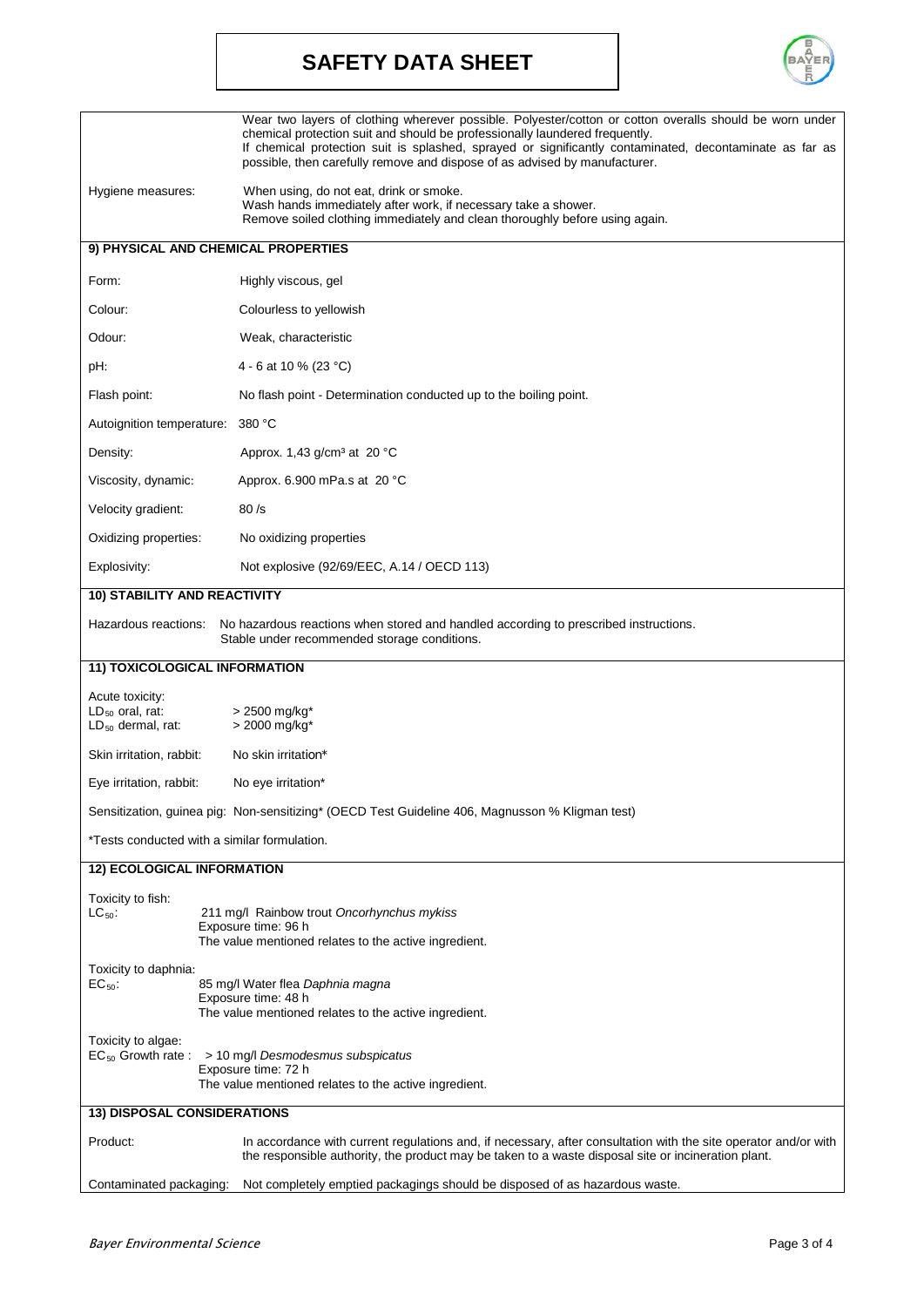# **SAFETY DATA SHEET**



|                                                                                                                                                                 | Wear two layers of clothing wherever possible. Polyester/cotton or cotton overalls should be worn under<br>chemical protection suit and should be professionally laundered frequently.<br>If chemical protection suit is splashed, sprayed or significantly contaminated, decontaminate as far as<br>possible, then carefully remove and dispose of as advised by manufacturer. |  |  |  |  |
|-----------------------------------------------------------------------------------------------------------------------------------------------------------------|---------------------------------------------------------------------------------------------------------------------------------------------------------------------------------------------------------------------------------------------------------------------------------------------------------------------------------------------------------------------------------|--|--|--|--|
| Hygiene measures:                                                                                                                                               | When using, do not eat, drink or smoke.<br>Wash hands immediately after work, if necessary take a shower.<br>Remove soiled clothing immediately and clean thoroughly before using again.                                                                                                                                                                                        |  |  |  |  |
|                                                                                                                                                                 | 9) PHYSICAL AND CHEMICAL PROPERTIES                                                                                                                                                                                                                                                                                                                                             |  |  |  |  |
| Form:                                                                                                                                                           | Highly viscous, gel                                                                                                                                                                                                                                                                                                                                                             |  |  |  |  |
| Colour:                                                                                                                                                         | Colourless to yellowish                                                                                                                                                                                                                                                                                                                                                         |  |  |  |  |
| Odour:                                                                                                                                                          | Weak, characteristic                                                                                                                                                                                                                                                                                                                                                            |  |  |  |  |
| pH:                                                                                                                                                             | 4 - 6 at 10 % (23 °C)                                                                                                                                                                                                                                                                                                                                                           |  |  |  |  |
|                                                                                                                                                                 |                                                                                                                                                                                                                                                                                                                                                                                 |  |  |  |  |
| Flash point:                                                                                                                                                    | No flash point - Determination conducted up to the boiling point.                                                                                                                                                                                                                                                                                                               |  |  |  |  |
| Autoignition temperature: 380 °C                                                                                                                                |                                                                                                                                                                                                                                                                                                                                                                                 |  |  |  |  |
| Density:                                                                                                                                                        | Approx. 1,43 g/cm <sup>3</sup> at 20 $^{\circ}$ C                                                                                                                                                                                                                                                                                                                               |  |  |  |  |
| Viscosity, dynamic:                                                                                                                                             | Approx. 6.900 mPa.s at 20 °C                                                                                                                                                                                                                                                                                                                                                    |  |  |  |  |
| Velocity gradient:                                                                                                                                              | 80/s                                                                                                                                                                                                                                                                                                                                                                            |  |  |  |  |
| Oxidizing properties:                                                                                                                                           | No oxidizing properties                                                                                                                                                                                                                                                                                                                                                         |  |  |  |  |
| Explosivity:                                                                                                                                                    | Not explosive (92/69/EEC, A.14 / OECD 113)                                                                                                                                                                                                                                                                                                                                      |  |  |  |  |
| <b>10) STABILITY AND REACTIVITY</b>                                                                                                                             |                                                                                                                                                                                                                                                                                                                                                                                 |  |  |  |  |
| Hazardous reactions:                                                                                                                                            | No hazardous reactions when stored and handled according to prescribed instructions.<br>Stable under recommended storage conditions.                                                                                                                                                                                                                                            |  |  |  |  |
| 11) TOXICOLOGICAL INFORMATION                                                                                                                                   |                                                                                                                                                                                                                                                                                                                                                                                 |  |  |  |  |
| Acute toxicity:<br>$LD_{50}$ oral, rat:<br>$LD_{50}$ dermal, rat:                                                                                               | > 2500 mg/kg*<br>> 2000 mg/kg*                                                                                                                                                                                                                                                                                                                                                  |  |  |  |  |
| Skin irritation, rabbit:                                                                                                                                        | No skin irritation*                                                                                                                                                                                                                                                                                                                                                             |  |  |  |  |
| Eye irritation, rabbit:                                                                                                                                         | No eye irritation*                                                                                                                                                                                                                                                                                                                                                              |  |  |  |  |
|                                                                                                                                                                 | Sensitization, guinea pig: Non-sensitizing* (OECD Test Guideline 406, Magnusson % Kligman test)                                                                                                                                                                                                                                                                                 |  |  |  |  |
| *Tests conducted with a similar formulation.                                                                                                                    |                                                                                                                                                                                                                                                                                                                                                                                 |  |  |  |  |
| <b>12) ECOLOGICAL INFORMATION</b>                                                                                                                               |                                                                                                                                                                                                                                                                                                                                                                                 |  |  |  |  |
| Toxicity to fish:<br>$LC_{50}$ :                                                                                                                                | 211 mg/l Rainbow trout Oncorhynchus mykiss<br>Exposure time: 96 h<br>The value mentioned relates to the active ingredient.                                                                                                                                                                                                                                                      |  |  |  |  |
| Toxicity to daphnia:<br>$EC_{50}$ :                                                                                                                             | 85 mg/l Water flea Daphnia magna<br>Exposure time: 48 h<br>The value mentioned relates to the active ingredient.                                                                                                                                                                                                                                                                |  |  |  |  |
| Toxicity to algae:<br>$EC_{50}$ Growth rate : > 10 mg/l Desmodesmus subspicatus<br>Exposure time: 72 h<br>The value mentioned relates to the active ingredient. |                                                                                                                                                                                                                                                                                                                                                                                 |  |  |  |  |
| <b>13) DISPOSAL CONSIDERATIONS</b>                                                                                                                              |                                                                                                                                                                                                                                                                                                                                                                                 |  |  |  |  |
| Product:                                                                                                                                                        | In accordance with current regulations and, if necessary, after consultation with the site operator and/or with<br>the responsible authority, the product may be taken to a waste disposal site or incineration plant.                                                                                                                                                          |  |  |  |  |
| Contaminated packaging:                                                                                                                                         | Not completely emptied packagings should be disposed of as hazardous waste.                                                                                                                                                                                                                                                                                                     |  |  |  |  |